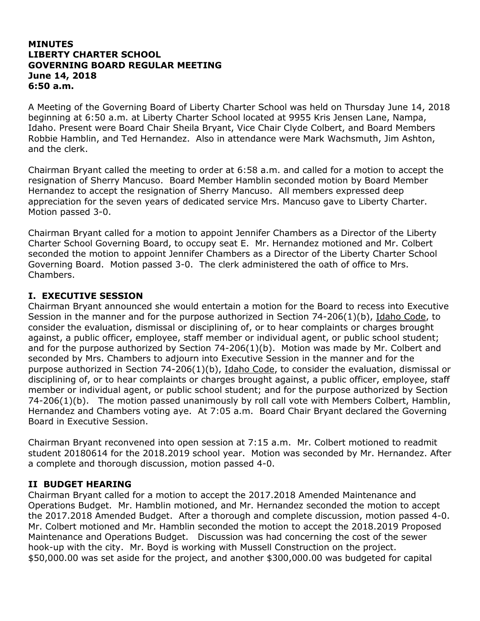#### **MINUTES LIBERTY CHARTER SCHOOL GOVERNING BOARD REGULAR MEETING June 14, 2018 6:50 a.m.**

A Meeting of the Governing Board of Liberty Charter School was held on Thursday June 14, 2018 beginning at 6:50 a.m. at Liberty Charter School located at 9955 Kris Jensen Lane, Nampa, Idaho. Present were Board Chair Sheila Bryant, Vice Chair Clyde Colbert, and Board Members Robbie Hamblin, and Ted Hernandez. Also in attendance were Mark Wachsmuth, Jim Ashton, and the clerk.

Chairman Bryant called the meeting to order at 6:58 a.m. and called for a motion to accept the resignation of Sherry Mancuso. Board Member Hamblin seconded motion by Board Member Hernandez to accept the resignation of Sherry Mancuso. All members expressed deep appreciation for the seven years of dedicated service Mrs. Mancuso gave to Liberty Charter. Motion passed 3-0.

Chairman Bryant called for a motion to appoint Jennifer Chambers as a Director of the Liberty Charter School Governing Board, to occupy seat E. Mr. Hernandez motioned and Mr. Colbert seconded the motion to appoint Jennifer Chambers as a Director of the Liberty Charter School Governing Board. Motion passed 3-0. The clerk administered the oath of office to Mrs. Chambers.

#### **I. EXECUTIVE SESSION**

Chairman Bryant announced she would entertain a motion for the Board to recess into Executive Session in the manner and for the purpose authorized in Section 74-206(1)(b), Idaho Code, to consider the evaluation, dismissal or disciplining of, or to hear complaints or charges brought against, a public officer, employee, staff member or individual agent, or public school student; and for the purpose authorized by Section 74-206(1)(b). Motion was made by Mr. Colbert and seconded by Mrs. Chambers to adjourn into Executive Session in the manner and for the purpose authorized in Section 74-206(1)(b), Idaho Code, to consider the evaluation, dismissal or disciplining of, or to hear complaints or charges brought against, a public officer, employee, staff member or individual agent, or public school student; and for the purpose authorized by Section 74-206(1)(b). The motion passed unanimously by roll call vote with Members Colbert, Hamblin, Hernandez and Chambers voting aye. At 7:05 a.m. Board Chair Bryant declared the Governing Board in Executive Session.

Chairman Bryant reconvened into open session at 7:15 a.m. Mr. Colbert motioned to readmit student 20180614 for the 2018.2019 school year. Motion was seconded by Mr. Hernandez. After a complete and thorough discussion, motion passed 4-0.

#### **II BUDGET HEARING**

Chairman Bryant called for a motion to accept the 2017.2018 Amended Maintenance and Operations Budget. Mr. Hamblin motioned, and Mr. Hernandez seconded the motion to accept the 2017.2018 Amended Budget. After a thorough and complete discussion, motion passed 4-0. Mr. Colbert motioned and Mr. Hamblin seconded the motion to accept the 2018.2019 Proposed Maintenance and Operations Budget. Discussion was had concerning the cost of the sewer hook-up with the city. Mr. Boyd is working with Mussell Construction on the project. \$50,000.00 was set aside for the project, and another \$300,000.00 was budgeted for capital